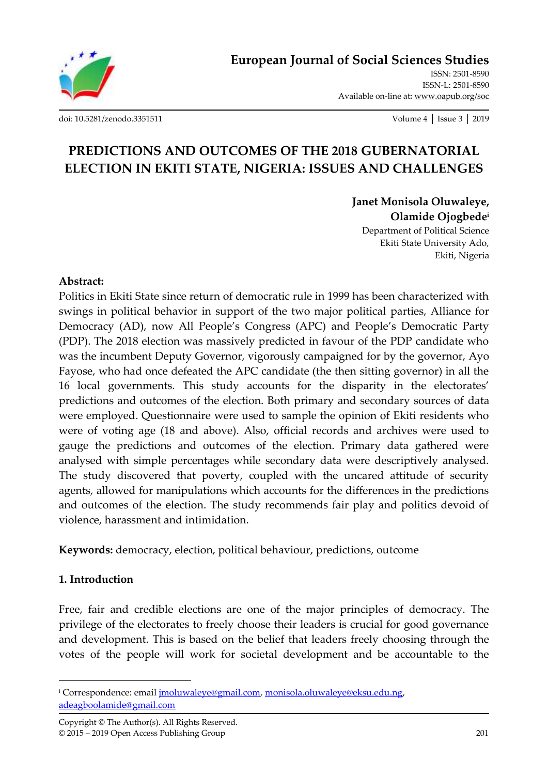

**[European Journal of Social Sciences Studies](http://oapub.org/soc/index.php/EJSSS)**

[ISSN: 2501-8590](http://oapub.org/soc/index.php/EJSSS)  ISSN-L: [2501-8590](http://oapub.org/soc/index.php/EJSSS)  Available on-line at**:** [www.oapub.org/soc](http://www.oapub.org/soc)

[doi: 10.5281/zenodo.3351511](http://dx.doi.org/10.5281/zenodo.3351511) Volume 4 │ Issue 3 │ 2019

# **PREDICTIONS AND OUTCOMES OF THE 2018 GUBERNATORIAL ELECTION IN EKITI STATE, NIGERIA: ISSUES AND CHALLENGES**

**Janet Monisola Oluwaleye, Olamide Ojogbede<sup>i</sup>** Department of Political Science

Ekiti State University Ado, Ekiti, Nigeria

#### **Abstract:**

Politics in Ekiti State since return of democratic rule in 1999 has been characterized with swings in political behavior in support of the two major political parties, Alliance for Democracy (AD), now All People's Congress (APC) and People's Democratic Party (PDP). The 2018 election was massively predicted in favour of the PDP candidate who was the incumbent Deputy Governor, vigorously campaigned for by the governor, Ayo Fayose, who had once defeated the APC candidate (the then sitting governor) in all the 16 local governments. This study accounts for the disparity in the electorates' predictions and outcomes of the election. Both primary and secondary sources of data were employed. Questionnaire were used to sample the opinion of Ekiti residents who were of voting age (18 and above). Also, official records and archives were used to gauge the predictions and outcomes of the election. Primary data gathered were analysed with simple percentages while secondary data were descriptively analysed. The study discovered that poverty, coupled with the uncared attitude of security agents, allowed for manipulations which accounts for the differences in the predictions and outcomes of the election. The study recommends fair play and politics devoid of violence, harassment and intimidation.

**Keywords:** democracy, election, political behaviour, predictions, outcome

### **1. Introduction**

 $\overline{\phantom{a}}$ 

Free, fair and credible elections are one of the major principles of democracy. The privilege of the electorates to freely choose their leaders is crucial for good governance and development. This is based on the belief that leaders freely choosing through the votes of the people will work for societal development and be accountable to the

<sup>&</sup>lt;sup>i</sup> Correspondence: email *imoluwaleye@gmail.com, [monisola.oluwaleye@eksu.edu.ng,](mailto:monisola.oluwaleye@eksu.edu.ng)* [adeagboolamide@gmail.com](mailto:adeagboolamide@gmail.com)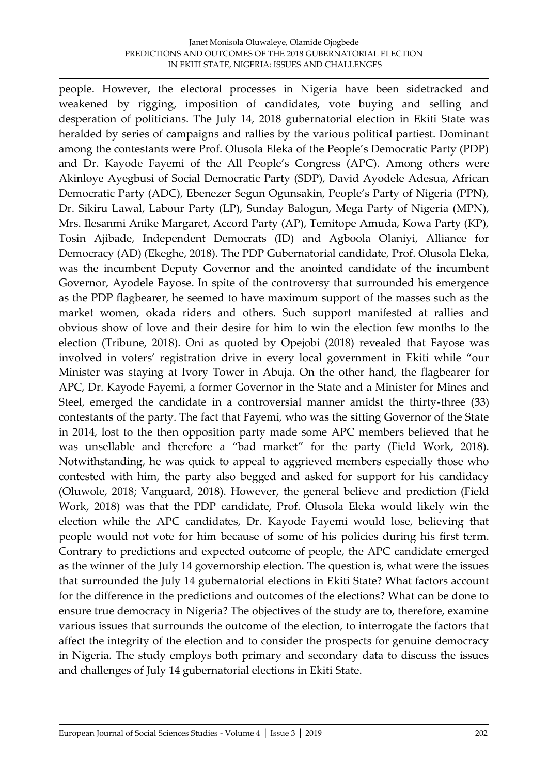people. However, the electoral processes in Nigeria have been sidetracked and weakened by rigging, imposition of candidates, vote buying and selling and desperation of politicians. The July 14, 2018 gubernatorial election in Ekiti State was heralded by series of campaigns and rallies by the various political partiest. Dominant among the contestants were Prof. Olusola Eleka of the People's Democratic Party (PDP) and Dr. Kayode Fayemi of the All People's Congress (APC). Among others were Akinloye Ayegbusi of Social Democratic Party (SDP), David Ayodele Adesua, African Democratic Party (ADC), Ebenezer Segun Ogunsakin, People's Party of Nigeria (PPN), Dr. Sikiru Lawal, Labour Party (LP), Sunday Balogun, Mega Party of Nigeria (MPN), Mrs. Ilesanmi Anike Margaret, Accord Party (AP), Temitope Amuda, Kowa Party (KP), Tosin Ajibade, Independent Democrats (ID) and Agboola Olaniyi, Alliance for Democracy (AD) (Ekeghe, 2018). The PDP Gubernatorial candidate, Prof. Olusola Eleka, was the incumbent Deputy Governor and the anointed candidate of the incumbent Governor, Ayodele Fayose. In spite of the controversy that surrounded his emergence as the PDP flagbearer, he seemed to have maximum support of the masses such as the market women, okada riders and others. Such support manifested at rallies and obvious show of love and their desire for him to win the election few months to the election (Tribune, 2018). Oni as quoted by Opejobi (2018) revealed that Fayose was involved in voters' registration drive in every local government in Ekiti while "our Minister was staying at Ivory Tower in Abuja. On the other hand, the flagbearer for APC, Dr. Kayode Fayemi, a former Governor in the State and a Minister for Mines and Steel, emerged the candidate in a controversial manner amidst the thirty-three (33) contestants of the party. The fact that Fayemi, who was the sitting Governor of the State in 2014, lost to the then opposition party made some APC members believed that he was unsellable and therefore a "bad market" for the party (Field Work, 2018). Notwithstanding, he was quick to appeal to aggrieved members especially those who contested with him, the party also begged and asked for support for his candidacy (Oluwole, 2018; Vanguard, 2018). However, the general believe and prediction (Field Work, 2018) was that the PDP candidate, Prof. Olusola Eleka would likely win the election while the APC candidates, Dr. Kayode Fayemi would lose, believing that people would not vote for him because of some of his policies during his first term. Contrary to predictions and expected outcome of people, the APC candidate emerged as the winner of the July 14 governorship election. The question is, what were the issues that surrounded the July 14 gubernatorial elections in Ekiti State? What factors account for the difference in the predictions and outcomes of the elections? What can be done to ensure true democracy in Nigeria? The objectives of the study are to, therefore, examine various issues that surrounds the outcome of the election, to interrogate the factors that affect the integrity of the election and to consider the prospects for genuine democracy in Nigeria. The study employs both primary and secondary data to discuss the issues and challenges of July 14 gubernatorial elections in Ekiti State.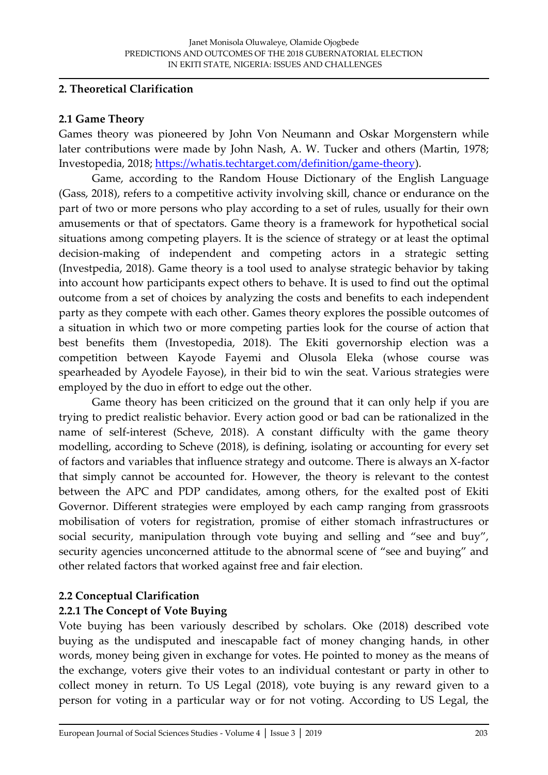### **2. Theoretical Clarification**

#### **2.1 Game Theory**

Games theory was pioneered by John Von Neumann and Oskar Morgenstern while later contributions were made by John Nash, A. W. Tucker and others (Martin, 1978; Investopedia, 2018; [https://whatis.techtarget.com/definition/game-theory\)](https://whatis.techtarget.com/definition/game-theory).

Game, according to the Random House Dictionary of the English Language (Gass, 2018), refers to a competitive activity involving skill, chance or endurance on the part of two or more persons who play according to a set of rules, usually for their own amusements or that of spectators. Game theory is a framework for hypothetical social situations among competing players. It is the science of strategy or at least the optimal decision-making of independent and competing actors in a strategic setting (Investpedia, 2018). Game theory is a tool used to analyse strategic behavior by taking into account how participants expect others to behave. It is used to find out the optimal outcome from a set of choices by analyzing the costs and benefits to each independent party as they compete with each other. Games theory explores the possible outcomes of a situation in which two or more competing parties look for the course of action that best benefits them (Investopedia, 2018). The Ekiti governorship election was a competition between Kayode Fayemi and Olusola Eleka (whose course was spearheaded by Ayodele Fayose), in their bid to win the seat. Various strategies were employed by the duo in effort to edge out the other.

Game theory has been criticized on the ground that it can only help if you are trying to predict realistic behavior. Every action good or bad can be rationalized in the name of self-interest (Scheve, 2018). A constant difficulty with the game theory modelling, according to Scheve (2018), is defining, isolating or accounting for every set of factors and variables that influence strategy and outcome. There is always an X-factor that simply cannot be accounted for. However, the theory is relevant to the contest between the APC and PDP candidates, among others, for the exalted post of Ekiti Governor. Different strategies were employed by each camp ranging from grassroots mobilisation of voters for registration, promise of either stomach infrastructures or social security, manipulation through vote buying and selling and "see and buy", security agencies unconcerned attitude to the abnormal scene of "see and buying" and other related factors that worked against free and fair election.

### **2.2 Conceptual Clarification**

### **2.2.1 The Concept of Vote Buying**

Vote buying has been variously described by scholars. Oke (2018) described vote buying as the undisputed and inescapable fact of money changing hands, in other words, money being given in exchange for votes. He pointed to money as the means of the exchange, voters give their votes to an individual contestant or party in other to collect money in return. To US Legal (2018), vote buying is any reward given to a person for voting in a particular way or for not voting. According to US Legal, the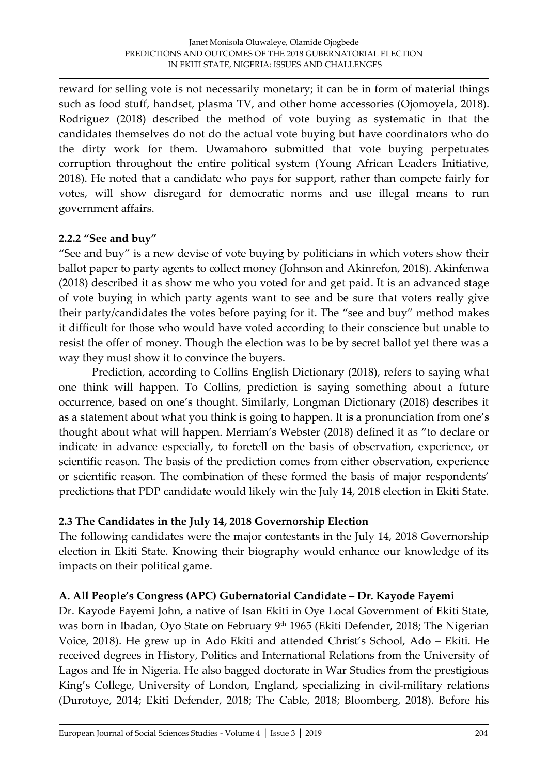reward for selling vote is not necessarily monetary; it can be in form of material things such as food stuff, handset, plasma TV, and other home accessories (Ojomoyela, 2018). Rodriguez (2018) described the method of vote buying as systematic in that the candidates themselves do not do the actual vote buying but have coordinators who do the dirty work for them. Uwamahoro submitted that vote buying perpetuates corruption throughout the entire political system (Young African Leaders Initiative, 2018). He noted that a candidate who pays for support, rather than compete fairly for votes, will show disregard for democratic norms and use illegal means to run government affairs.

#### **2.2.2 "See and buy"**

"See and buy" is a new devise of vote buying by politicians in which voters show their ballot paper to party agents to collect money (Johnson and Akinrefon, 2018). Akinfenwa (2018) described it as show me who you voted for and get paid. It is an advanced stage of vote buying in which party agents want to see and be sure that voters really give their party/candidates the votes before paying for it. The "see and buy" method makes it difficult for those who would have voted according to their conscience but unable to resist the offer of money. Though the election was to be by secret ballot yet there was a way they must show it to convince the buyers.

Prediction, according to Collins English Dictionary (2018), refers to saying what one think will happen. To Collins, prediction is saying something about a future occurrence, based on one's thought. Similarly, Longman Dictionary (2018) describes it as a statement about what you think is going to happen. It is a pronunciation from one's thought about what will happen. Merriam's Webster (2018) defined it as "to declare or indicate in advance especially, to foretell on the basis of observation, experience, or scientific reason. The basis of the prediction comes from either observation, experience or scientific reason. The combination of these formed the basis of major respondents' predictions that PDP candidate would likely win the July 14, 2018 election in Ekiti State.

### **2.3 The Candidates in the July 14, 2018 Governorship Election**

The following candidates were the major contestants in the July 14, 2018 Governorship election in Ekiti State. Knowing their biography would enhance our knowledge of its impacts on their political game.

### **A. All People's Congress (APC) Gubernatorial Candidate – Dr. Kayode Fayemi**

Dr. Kayode Fayemi John, a native of Isan Ekiti in Oye Local Government of Ekiti State, was born in Ibadan, Oyo State on February 9<sup>th</sup> 1965 (Ekiti Defender, 2018; The Nigerian Voice, 2018). He grew up in Ado Ekiti and attended Christ's School, Ado – Ekiti. He received degrees in History, Politics and International Relations from the University of Lagos and Ife in Nigeria. He also bagged doctorate in War Studies from the prestigious King's College, University of London, England, specializing in civil-military relations (Durotoye, 2014; Ekiti Defender, 2018; The Cable, 2018; Bloomberg, 2018). Before his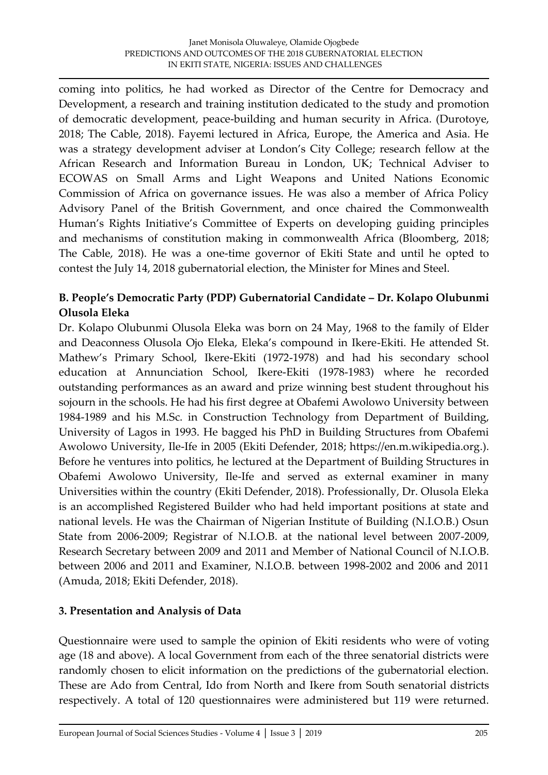coming into politics, he had worked as Director of the Centre for Democracy and Development, a research and training institution dedicated to the study and promotion of democratic development, peace-building and human security in Africa. (Durotoye, 2018; The Cable, 2018). Fayemi lectured in Africa, Europe, the America and Asia. He was a strategy development adviser at London's City College; research fellow at the African Research and Information Bureau in London, UK; Technical Adviser to ECOWAS on Small Arms and Light Weapons and United Nations Economic Commission of Africa on governance issues. He was also a member of Africa Policy Advisory Panel of the British Government, and once chaired the Commonwealth Human's Rights Initiative's Committee of Experts on developing guiding principles and mechanisms of constitution making in commonwealth Africa (Bloomberg, 2018; The Cable, 2018). He was a one-time governor of Ekiti State and until he opted to contest the July 14, 2018 gubernatorial election, the Minister for Mines and Steel.

### **B. People's Democratic Party (PDP) Gubernatorial Candidate – Dr. Kolapo Olubunmi Olusola Eleka**

Dr. Kolapo Olubunmi Olusola Eleka was born on 24 May, 1968 to the family of Elder and Deaconness Olusola Ojo Eleka, Eleka's compound in Ikere-Ekiti. He attended St. Mathew's Primary School, Ikere-Ekiti (1972-1978) and had his secondary school education at Annunciation School, Ikere-Ekiti (1978-1983) where he recorded outstanding performances as an award and prize winning best student throughout his sojourn in the schools. He had his first degree at Obafemi Awolowo University between 1984-1989 and his M.Sc. in Construction Technology from Department of Building, University of Lagos in 1993. He bagged his PhD in Building Structures from Obafemi Awolowo University, Ile-Ife in 2005 (Ekiti Defender, 2018; https://en.m.wikipedia.org.). Before he ventures into politics, he lectured at the Department of Building Structures in Obafemi Awolowo University, Ile-Ife and served as external examiner in many Universities within the country (Ekiti Defender, 2018). Professionally, Dr. Olusola Eleka is an accomplished Registered Builder who had held important positions at state and national levels. He was the Chairman of Nigerian Institute of Building (N.I.O.B.) Osun State from 2006-2009; Registrar of N.I.O.B. at the national level between 2007-2009, Research Secretary between 2009 and 2011 and Member of National Council of N.I.O.B. between 2006 and 2011 and Examiner, N.I.O.B. between 1998-2002 and 2006 and 2011 (Amuda, 2018; Ekiti Defender, 2018).

# **3. Presentation and Analysis of Data**

Questionnaire were used to sample the opinion of Ekiti residents who were of voting age (18 and above). A local Government from each of the three senatorial districts were randomly chosen to elicit information on the predictions of the gubernatorial election. These are Ado from Central, Ido from North and Ikere from South senatorial districts respectively. A total of 120 questionnaires were administered but 119 were returned.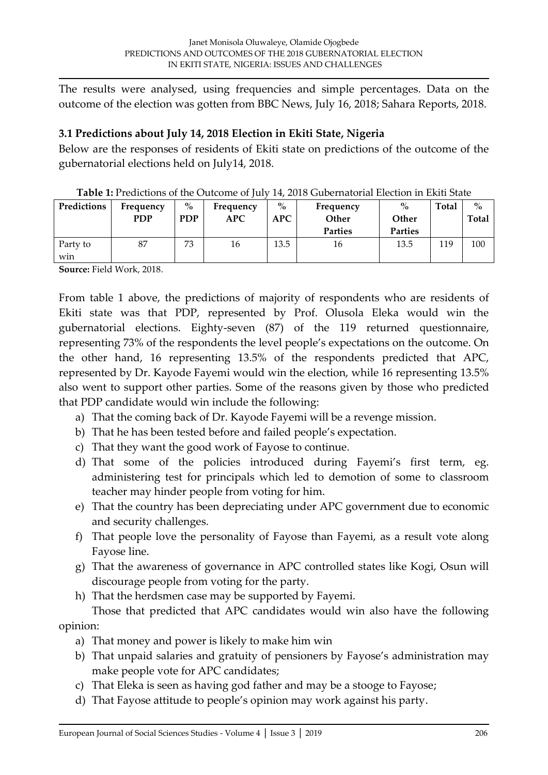The results were analysed, using frequencies and simple percentages. Data on the outcome of the election was gotten from BBC News, July 16, 2018; Sahara Reports, 2018.

### **3.1 Predictions about July 14, 2018 Election in Ekiti State, Nigeria**

Below are the responses of residents of Ekiti state on predictions of the outcome of the gubernatorial elections held on July14, 2018.

| Predictions     | Frequency<br><b>PDP</b> | $\frac{6}{6}$<br><b>PDP</b> | Frequency<br>APC | $\%$<br><b>APC</b> | Frequency<br>Other | $\%$<br>Other  | Total | $\%$<br>Total |
|-----------------|-------------------------|-----------------------------|------------------|--------------------|--------------------|----------------|-------|---------------|
|                 |                         |                             |                  |                    | <b>Parties</b>     | <b>Parties</b> |       |               |
| Party to<br>win | 87                      | 73                          | 16               | 13.5               | 16                 | 13.5           | 119   | 100           |

**Source:** Field Work, 2018.

From table 1 above, the predictions of majority of respondents who are residents of Ekiti state was that PDP, represented by Prof. Olusola Eleka would win the gubernatorial elections. Eighty-seven (87) of the 119 returned questionnaire, representing 73% of the respondents the level people's expectations on the outcome. On the other hand, 16 representing 13.5% of the respondents predicted that APC, represented by Dr. Kayode Fayemi would win the election, while 16 representing 13.5% also went to support other parties. Some of the reasons given by those who predicted that PDP candidate would win include the following:

- a) That the coming back of Dr. Kayode Fayemi will be a revenge mission.
- b) That he has been tested before and failed people's expectation.
- c) That they want the good work of Fayose to continue.
- d) That some of the policies introduced during Fayemi's first term, eg. administering test for principals which led to demotion of some to classroom teacher may hinder people from voting for him.
- e) That the country has been depreciating under APC government due to economic and security challenges.
- f) That people love the personality of Fayose than Fayemi, as a result vote along Fayose line.
- g) That the awareness of governance in APC controlled states like Kogi, Osun will discourage people from voting for the party.
- h) That the herdsmen case may be supported by Fayemi.

Those that predicted that APC candidates would win also have the following opinion:

- a) That money and power is likely to make him win
- b) That unpaid salaries and gratuity of pensioners by Fayose's administration may make people vote for APC candidates;
- c) That Eleka is seen as having god father and may be a stooge to Fayose;
- d) That Fayose attitude to people's opinion may work against his party.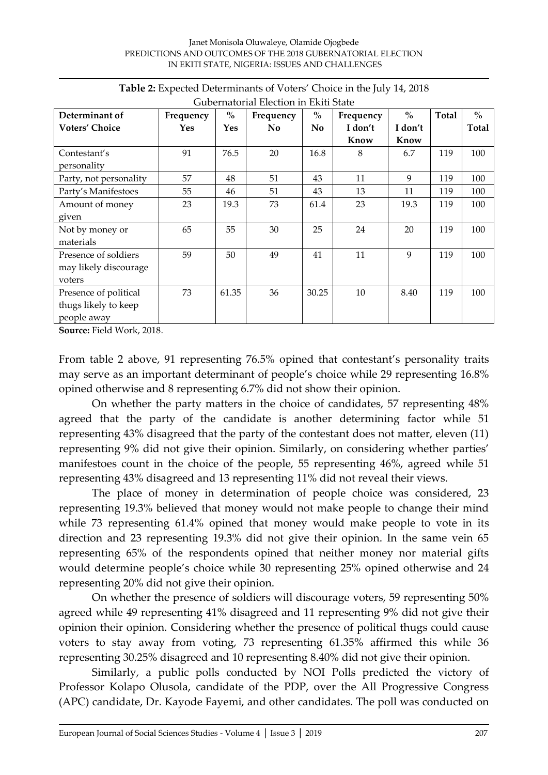| Determinant of         | Frequency | $\%$       | Gubelhatoliai Election III Ekiti State<br>Frequency | $\frac{0}{0}$  | Frequency | $\%$    | Total | $\%$  |
|------------------------|-----------|------------|-----------------------------------------------------|----------------|-----------|---------|-------|-------|
|                        |           |            |                                                     |                |           |         |       |       |
| <b>Voters' Choice</b>  | Yes       | <b>Yes</b> | No.                                                 | N <sub>0</sub> | I don't   | I don't |       | Total |
|                        |           |            |                                                     |                | Know      | Know    |       |       |
| Contestant's           | 91        | 76.5       | 20                                                  | 16.8           | 8         | 6.7     | 119   | 100   |
| personality            |           |            |                                                     |                |           |         |       |       |
| Party, not personality | 57        | 48         | 51                                                  | 43             | 11        | 9       | 119   | 100   |
| Party's Manifestoes    | 55        | 46         | 51                                                  | 43             | 13        | 11      | 119   | 100   |
| Amount of money        | 23        | 19.3       | 73                                                  | 61.4           | 23        | 19.3    | 119   | 100   |
| given                  |           |            |                                                     |                |           |         |       |       |
| Not by money or        | 65        | 55         | 30                                                  | 25             | 24        | 20      | 119   | 100   |
| materials              |           |            |                                                     |                |           |         |       |       |
| Presence of soldiers   | 59        | 50         | 49                                                  | 41             | 11        | 9       | 119   | 100   |
| may likely discourage  |           |            |                                                     |                |           |         |       |       |
| voters                 |           |            |                                                     |                |           |         |       |       |
| Presence of political  | 73        | 61.35      | 36                                                  | 30.25          | 10        | 8.40    | 119   | 100   |
| thugs likely to keep   |           |            |                                                     |                |           |         |       |       |
| people away            |           |            |                                                     |                |           |         |       |       |

| Table 2: Expected Determinants of Voters' Choice in the July 14, 2018 |  |
|-----------------------------------------------------------------------|--|
| Cubernatorial Flection in Eliti State                                 |  |

**Source:** Field Work, 2018.

From table 2 above, 91 representing 76.5% opined that contestant's personality traits may serve as an important determinant of people's choice while 29 representing 16.8% opined otherwise and 8 representing 6.7% did not show their opinion.

On whether the party matters in the choice of candidates, 57 representing 48% agreed that the party of the candidate is another determining factor while 51 representing 43% disagreed that the party of the contestant does not matter, eleven (11) representing 9% did not give their opinion. Similarly, on considering whether parties' manifestoes count in the choice of the people, 55 representing 46%, agreed while 51 representing 43% disagreed and 13 representing 11% did not reveal their views.

The place of money in determination of people choice was considered, 23 representing 19.3% believed that money would not make people to change their mind while 73 representing 61.4% opined that money would make people to vote in its direction and 23 representing 19.3% did not give their opinion. In the same vein 65 representing 65% of the respondents opined that neither money nor material gifts would determine people's choice while 30 representing 25% opined otherwise and 24 representing 20% did not give their opinion.

On whether the presence of soldiers will discourage voters, 59 representing 50% agreed while 49 representing 41% disagreed and 11 representing 9% did not give their opinion their opinion. Considering whether the presence of political thugs could cause voters to stay away from voting, 73 representing 61.35% affirmed this while 36 representing 30.25% disagreed and 10 representing 8.40% did not give their opinion.

Similarly, a public polls conducted by NOI Polls predicted the victory of Professor Kolapo Olusola, candidate of the PDP, over the All Progressive Congress (APC) candidate, Dr. Kayode Fayemi, and other candidates. The poll was conducted on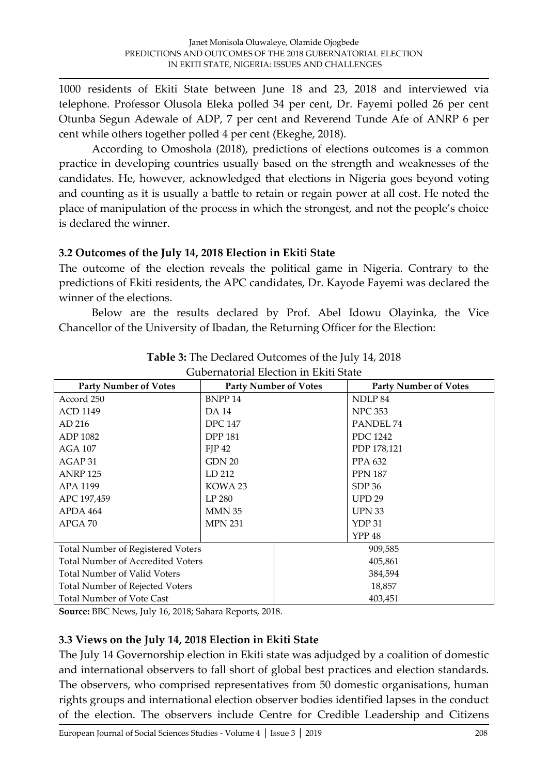1000 residents of Ekiti State between June 18 and 23, 2018 and interviewed via telephone. Professor Olusola Eleka polled 34 per cent, Dr. Fayemi polled 26 per cent Otunba Segun Adewale of ADP, 7 per cent and Reverend Tunde Afe of ANRP 6 per cent while others together polled 4 per cent (Ekeghe, 2018).

According to Omoshola (2018), predictions of elections outcomes is a common practice in developing countries usually based on the strength and weaknesses of the candidates. He, however, acknowledged that elections in Nigeria goes beyond voting and counting as it is usually a battle to retain or regain power at all cost. He noted the place of manipulation of the process in which the strongest, and not the people's choice is declared the winner.

### **3.2 Outcomes of the July 14, 2018 Election in Ekiti State**

The outcome of the election reveals the political game in Nigeria. Contrary to the predictions of Ekiti residents, the APC candidates, Dr. Kayode Fayemi was declared the winner of the elections.

Below are the results declared by Prof. Abel Idowu Olayinka, the Vice Chancellor of the University of Ibadan, the Returning Officer for the Election:

| enaaviai lietavii ili linii vaa          |                              |         |                              |  |  |
|------------------------------------------|------------------------------|---------|------------------------------|--|--|
| <b>Party Number of Votes</b>             | <b>Party Number of Votes</b> |         | <b>Party Number of Votes</b> |  |  |
| Accord 250                               | <b>BNPP14</b>                |         | NDLP 84                      |  |  |
| <b>ACD 1149</b>                          | DA 14                        |         | <b>NPC 353</b>               |  |  |
| AD 216                                   | <b>DPC 147</b>               |         | PANDEL 74                    |  |  |
| ADP 1082                                 | <b>DPP 181</b>               |         | <b>PDC</b> 1242              |  |  |
| <b>AGA 107</b>                           | FIP 42                       |         | PDP 178,121                  |  |  |
| AGAP 31                                  | GDN 20                       |         | PPA 632                      |  |  |
| <b>ANRP 125</b>                          | LD 212                       |         | <b>PPN 187</b>               |  |  |
| APA 1199                                 | KOWA 23                      |         | SDP36                        |  |  |
| APC 197,459                              | LP 280                       |         | <b>UPD 29</b>                |  |  |
| APDA 464                                 | MMN 35                       |         | <b>UPN 33</b>                |  |  |
| APGA 70                                  | <b>MPN 231</b>               |         | YDP 31                       |  |  |
|                                          |                              |         | <b>YPP 48</b>                |  |  |
| <b>Total Number of Registered Voters</b> |                              | 909,585 |                              |  |  |
| <b>Total Number of Accredited Voters</b> |                              | 405,861 |                              |  |  |
| <b>Total Number of Valid Voters</b>      |                              | 384,594 |                              |  |  |
| Total Number of Rejected Voters          |                              | 18,857  |                              |  |  |
| <b>Total Number of Vote Cast</b>         |                              | 403,451 |                              |  |  |

| Table 3: The Declared Outcomes of the July 14, 2018 |
|-----------------------------------------------------|
| Gubernatorial Election in Ekiti State               |

**Source:** BBC News, July 16, 2018; Sahara Reports, 2018.

### **3.3 Views on the July 14, 2018 Election in Ekiti State**

The July 14 Governorship election in Ekiti state was adjudged by a coalition of domestic and international observers to fall short of global best practices and election standards. The observers, who comprised representatives from 50 domestic organisations, human rights groups and international election observer bodies identified lapses in the conduct of the election. The observers include Centre for Credible Leadership and Citizens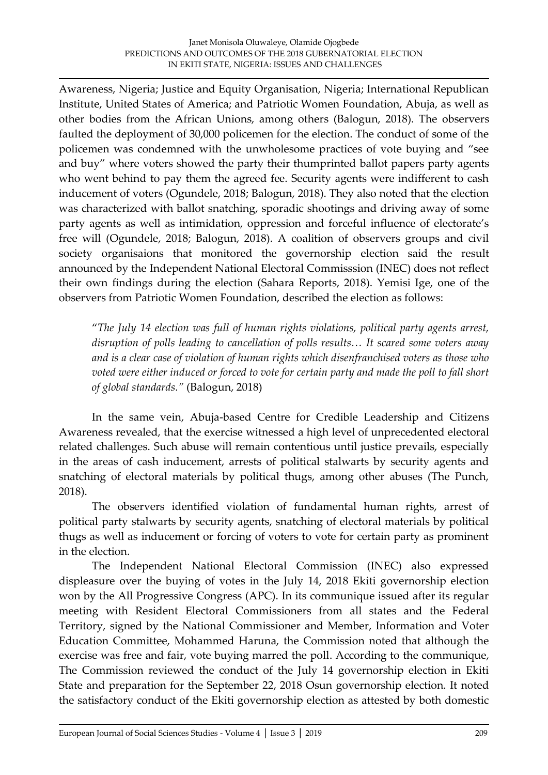Awareness, Nigeria; Justice and Equity Organisation, Nigeria; International Republican Institute, United States of America; and Patriotic Women Foundation, Abuja, as well as other bodies from the African Unions, among others (Balogun, 2018). The observers faulted the deployment of 30,000 policemen for the election. The conduct of some of the policemen was condemned with the unwholesome practices of vote buying and "see and buy" where voters showed the party their thumprinted ballot papers party agents who went behind to pay them the agreed fee. Security agents were indifferent to cash inducement of voters (Ogundele, 2018; Balogun, 2018). They also noted that the election was characterized with ballot snatching, sporadic shootings and driving away of some party agents as well as intimidation, oppression and forceful influence of electorate's free will (Ogundele, 2018; Balogun, 2018). A coalition of observers groups and civil society organisaions that monitored the governorship election said the result announced by the Independent National Electoral Commisssion (INEC) does not reflect their own findings during the election (Sahara Reports, 2018). Yemisi Ige, one of the observers from Patriotic Women Foundation, described the election as follows:

"*The July 14 election was full of human rights violations, political party agents arrest, disruption of polls leading to cancellation of polls results… It scared some voters away and is a clear case of violation of human rights which disenfranchised voters as those who voted were either induced or forced to vote for certain party and made the poll to fall short of global standards."* (Balogun, 2018)

In the same vein, Abuja-based Centre for Credible Leadership and Citizens Awareness revealed, that the exercise witnessed a high level of unprecedented electoral related challenges. Such abuse will remain contentious until justice prevails, especially in the areas of cash inducement, arrests of political stalwarts by security agents and snatching of electoral materials by political thugs, among other abuses (The Punch, 2018).

The observers identified violation of fundamental human rights, arrest of political party stalwarts by security agents, snatching of electoral materials by political thugs as well as inducement or forcing of voters to vote for certain party as prominent in the election.

The Independent National Electoral Commission (INEC) also expressed displeasure over the buying of votes in the July 14, 2018 Ekiti governorship election won by the All Progressive Congress (APC). In its communique issued after its regular meeting with Resident Electoral Commissioners from all states and the Federal Territory, signed by the National Commissioner and Member, Information and Voter Education Committee, Mohammed Haruna, the Commission noted that although the exercise was free and fair, vote buying marred the poll. According to the communique, The Commission reviewed the conduct of the July 14 governorship election in Ekiti State and preparation for the September 22, 2018 Osun governorship election. It noted the satisfactory conduct of the Ekiti governorship election as attested by both domestic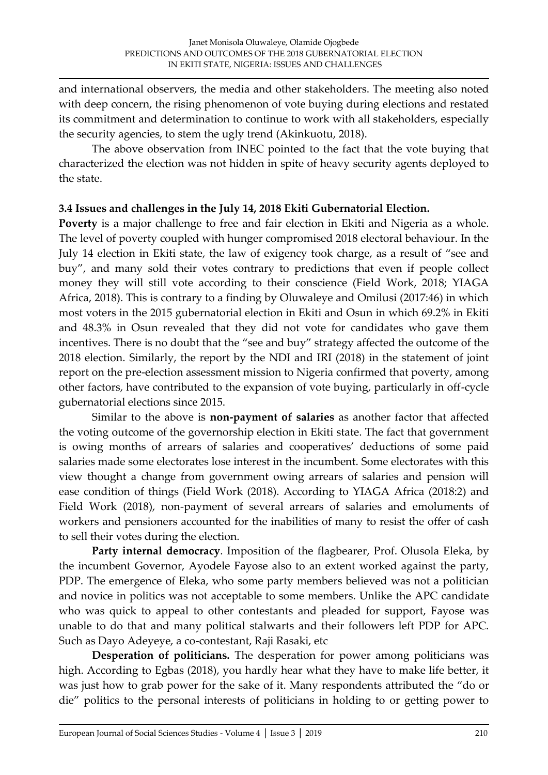and international observers, the media and other stakeholders. The meeting also noted with deep concern, the rising phenomenon of vote buying during elections and restated its commitment and determination to continue to work with all stakeholders, especially the security agencies, to stem the ugly trend (Akinkuotu, 2018).

The above observation from INEC pointed to the fact that the vote buying that characterized the election was not hidden in spite of heavy security agents deployed to the state.

### **3.4 Issues and challenges in the July 14, 2018 Ekiti Gubernatorial Election.**

**Poverty** is a major challenge to free and fair election in Ekiti and Nigeria as a whole. The level of poverty coupled with hunger compromised 2018 electoral behaviour. In the July 14 election in Ekiti state, the law of exigency took charge, as a result of "see and buy", and many sold their votes contrary to predictions that even if people collect money they will still vote according to their conscience (Field Work, 2018; YIAGA Africa, 2018). This is contrary to a finding by Oluwaleye and Omilusi (2017:46) in which most voters in the 2015 gubernatorial election in Ekiti and Osun in which 69.2% in Ekiti and 48.3% in Osun revealed that they did not vote for candidates who gave them incentives. There is no doubt that the "see and buy" strategy affected the outcome of the 2018 election. Similarly, the report by the NDI and IRI (2018) in the statement of joint report on the pre-election assessment mission to Nigeria confirmed that poverty, among other factors, have contributed to the expansion of vote buying, particularly in off-cycle gubernatorial elections since 2015.

Similar to the above is **non-payment of salaries** as another factor that affected the voting outcome of the governorship election in Ekiti state. The fact that government is owing months of arrears of salaries and cooperatives' deductions of some paid salaries made some electorates lose interest in the incumbent. Some electorates with this view thought a change from government owing arrears of salaries and pension will ease condition of things (Field Work (2018). According to YIAGA Africa (2018:2) and Field Work (2018), non-payment of several arrears of salaries and emoluments of workers and pensioners accounted for the inabilities of many to resist the offer of cash to sell their votes during the election.

**Party internal democracy**. Imposition of the flagbearer, Prof. Olusola Eleka, by the incumbent Governor, Ayodele Fayose also to an extent worked against the party, PDP. The emergence of Eleka, who some party members believed was not a politician and novice in politics was not acceptable to some members. Unlike the APC candidate who was quick to appeal to other contestants and pleaded for support, Fayose was unable to do that and many political stalwarts and their followers left PDP for APC. Such as Dayo Adeyeye, a co-contestant, Raji Rasaki, etc

**Desperation of politicians.** The desperation for power among politicians was high. According to Egbas (2018), you hardly hear what they have to make life better, it was just how to grab power for the sake of it. Many respondents attributed the "do or die" politics to the personal interests of politicians in holding to or getting power to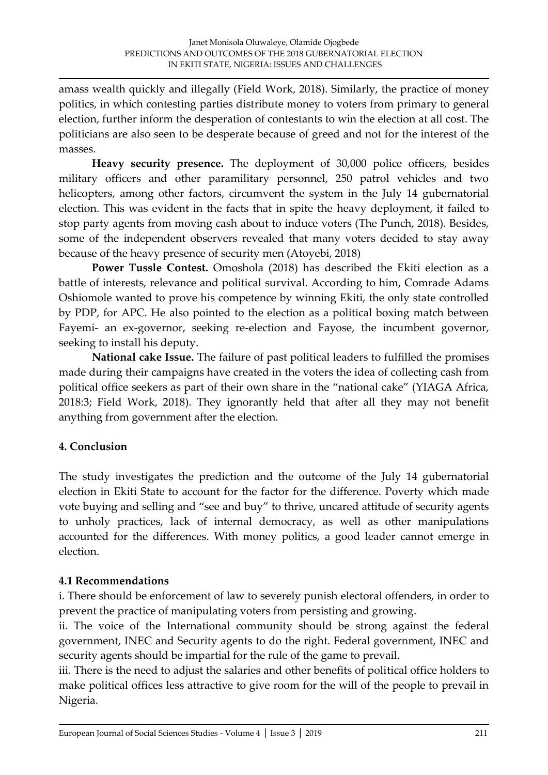amass wealth quickly and illegally (Field Work, 2018). Similarly, the practice of money politics, in which contesting parties distribute money to voters from primary to general election, further inform the desperation of contestants to win the election at all cost. The politicians are also seen to be desperate because of greed and not for the interest of the masses.

**Heavy security presence.** The deployment of 30,000 police officers, besides military officers and other paramilitary personnel, 250 patrol vehicles and two helicopters, among other factors, circumvent the system in the July 14 gubernatorial election. This was evident in the facts that in spite the heavy deployment, it failed to stop party agents from moving cash about to induce voters (The Punch, 2018). Besides, some of the independent observers revealed that many voters decided to stay away because of the heavy presence of security men (Atoyebi, 2018)

**Power Tussle Contest.** Omoshola (2018) has described the Ekiti election as a battle of interests, relevance and political survival. According to him, Comrade Adams Oshiomole wanted to prove his competence by winning Ekiti, the only state controlled by PDP, for APC. He also pointed to the election as a political boxing match between Fayemi- an ex-governor, seeking re-election and Fayose, the incumbent governor, seeking to install his deputy.

**National cake Issue.** The failure of past political leaders to fulfilled the promises made during their campaigns have created in the voters the idea of collecting cash from political office seekers as part of their own share in the "national cake" (YIAGA Africa, 2018:3; Field Work, 2018). They ignorantly held that after all they may not benefit anything from government after the election.

# **4. Conclusion**

The study investigates the prediction and the outcome of the July 14 gubernatorial election in Ekiti State to account for the factor for the difference. Poverty which made vote buying and selling and "see and buy" to thrive, uncared attitude of security agents to unholy practices, lack of internal democracy, as well as other manipulations accounted for the differences. With money politics, a good leader cannot emerge in election.

### **4.1 Recommendations**

i. There should be enforcement of law to severely punish electoral offenders, in order to prevent the practice of manipulating voters from persisting and growing.

ii. The voice of the International community should be strong against the federal government, INEC and Security agents to do the right. Federal government, INEC and security agents should be impartial for the rule of the game to prevail.

iii. There is the need to adjust the salaries and other benefits of political office holders to make political offices less attractive to give room for the will of the people to prevail in Nigeria.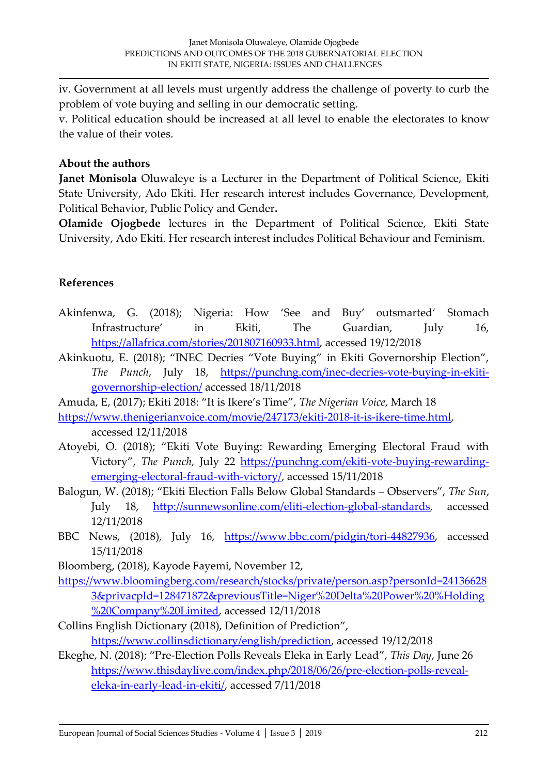iv. Government at all levels must urgently address the challenge of poverty to curb the problem of vote buying and selling in our democratic setting.

v. Political education should be increased at all level to enable the electorates to know the value of their votes.

### **About the authors**

**Janet Monisola** Oluwaleye is a Lecturer in the Department of Political Science, Ekiti State University, Ado Ekiti. Her research interest includes Governance, Development, Political Behavior, Public Policy and Gender**.** 

**Olamide Ojogbede** lectures in the Department of Political Science, Ekiti State University, Ado Ekiti. Her research interest includes Political Behaviour and Feminism.

# **References**

- Akinfenwa, G. (2018); Nigeria: How 'See and Buy' outsmarted' Stomach Infrastructure' in Ekiti, The Guardian, July 16, [https://allafrica.com/stories/201807160933.html,](https://allafrica.com/stories/201807160933.html) accessed 19/12/2018
- Akinkuotu, E. (2018); "INEC Decries "Vote Buying" in Ekiti Governorship Election", *The Punch*, July 18, [https://punchng.com/inec-decries-vote-buying-in-ekiti](https://punchng.com/inec-decries-vote-buying-in-ekiti-governorship-election/)[governorship-election/](https://punchng.com/inec-decries-vote-buying-in-ekiti-governorship-election/) accessed 18/11/2018

Amuda, E, (2017); Ekiti 2018: "It is Ikere's Time", *The Nigerian Voice*, March 18

- [https://www.thenigerianvoice.com/movie/247173/ekiti-2018-it-is-ikere-time.html,](https://www.thenigerianvoice.com/movie/247173/ekiti-2018-it-is-ikere-time.html) accessed 12/11/2018
- Atoyebi, O. (2018); "Ekiti Vote Buying: Rewarding Emerging Electoral Fraud with Victory", *The Punch,* July 22 [https://punchng.com/ekiti-vote-buying-rewarding](https://punchng.com/ekiti-vote-buying-rewarding-emerging-electoral-fraud-with-victory/)[emerging-electoral-fraud-with-victory/,](https://punchng.com/ekiti-vote-buying-rewarding-emerging-electoral-fraud-with-victory/) accessed 15/11/2018
- Balogun, W. (2018); "Ekiti Election Falls Below Global Standards Observers", *The Sun*, July 18, [http://sunnewsonline.com/eliti-election-global-standards,](http://sunnewsonline.com/eliti-election-global-standards) accessed 12/11/2018
- BBC News, (2018), July 16, [https://www.bbc.com/pidgin/tori-44827936,](https://www.bbc.com/pidgin/tori-44827936) accessed 15/11/2018
- Bloomberg, (2018), Kayode Fayemi, November 12,
- [https://www.bloomingberg.com/research/stocks/private/person.asp?personId=24136628](https://www.bloomingberg.com/research/stocks/private/person.asp?personId=241366283&privacpId=128471872&previousTitle=Niger%20Delta%20Power%20%25Holding%20Company%20Limited) [3&privacpId=128471872&previousTitle=Niger%20Delta%20Power%20%Holding](https://www.bloomingberg.com/research/stocks/private/person.asp?personId=241366283&privacpId=128471872&previousTitle=Niger%20Delta%20Power%20%25Holding%20Company%20Limited) [%20Company%20Limited,](https://www.bloomingberg.com/research/stocks/private/person.asp?personId=241366283&privacpId=128471872&previousTitle=Niger%20Delta%20Power%20%25Holding%20Company%20Limited) accessed 12/11/2018
- Collins English Dictionary (2018), Definition of Prediction", [https://www.collinsdictionary/english/prediction,](https://www.collinsdictionary/english/prediction) accessed 19/12/2018
- Ekeghe, N. (2018); "Pre-Election Polls Reveals Eleka in Early Lead", *This Day*, June 26 [https://www.thisdaylive.com/index.php/2018/06/26/pre-election-polls-reveal](https://www.thisdaylive.com/index.php/2018/06/26/pre-election-polls-reveal-eleka-in-early-lead-in-ekiti/)[eleka-in-early-lead-in-ekiti/,](https://www.thisdaylive.com/index.php/2018/06/26/pre-election-polls-reveal-eleka-in-early-lead-in-ekiti/) accessed 7/11/2018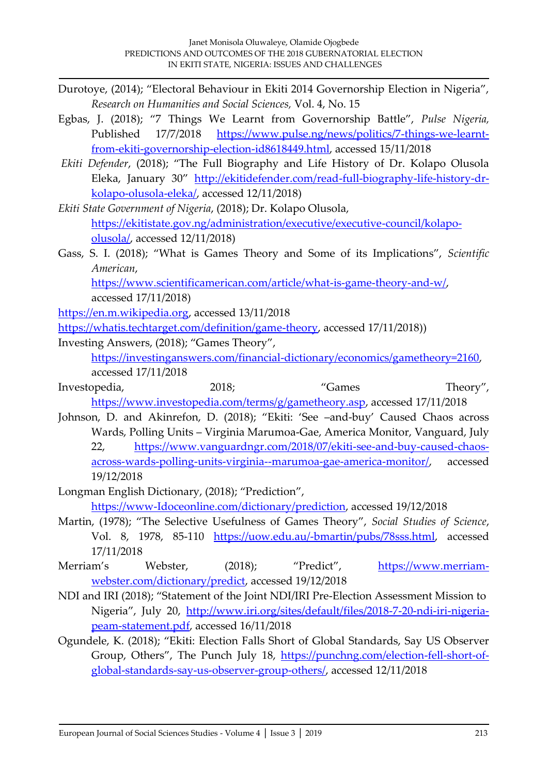- Durotoye, (2014); "Electoral Behaviour in Ekiti 2014 Governorship Election in Nigeria", *Research on Humanities and Social Sciences,* Vol. 4, No. 15
- Egbas, J. (2018); "7 Things We Learnt from Governorship Battle", *Pulse Nigeria,* Published 17/7/2018 [https://www.pulse.ng/news/politics/7-things-we-learnt](https://www.pulse.ng/news/politics/7-things-we-learnt-from-ekiti-governorship-election-id8618449.html)[from-ekiti-governorship-election-id8618449.html,](https://www.pulse.ng/news/politics/7-things-we-learnt-from-ekiti-governorship-election-id8618449.html) accessed 15/11/2018
- *Ekiti Defender*, (2018); "The Full Biography and Life History of Dr. Kolapo Olusola Eleka, January 30" [http://ekitidefender.com/read-full-biography-life-history-dr](http://ekitidefender.com/read-full-biography-life-history-dr-kolapo-olusola-eleka/)[kolapo-olusola-eleka/,](http://ekitidefender.com/read-full-biography-life-history-dr-kolapo-olusola-eleka/) accessed 12/11/2018)
- *Ekiti State Government of Nigeria*, (2018); Dr. Kolapo Olusola, [https://ekitistate.gov.ng/administration/executive/executive-council/kolapo](https://ekitistate.gov.ng/administration/executive/executive-council/kolapo-olusola/)[olusola/,](https://ekitistate.gov.ng/administration/executive/executive-council/kolapo-olusola/) accessed 12/11/2018)
- Gass, S. I. (2018); "What is Games Theory and Some of its Implications", *Scientific American*,

[https://www.scientificamerican.com/article/what-is-game-theory-and-w/,](https://www.scientificamerican.com/article/what-is-game-theory-and-w/) accessed 17/11/2018)

[https://en.m.wikipedia.org,](https://en.m.wikipedia.org/) accessed 13/11/2018

[https://whatis.techtarget.com/definition/game-theory,](https://whatis.techtarget.com/definition/game-theory) accessed 17/11/2018))

Investing Answers, (2018); "Games Theory",

[https://investinganswers.com/financial-dictionary/economics/gametheory=2160,](https://investinganswers.com/financial-dictionary/economics/gametheory=2160) accessed 17/11/2018

- Investopedia, 2018; Theory", 2018; Theory", 2018; Theory", 2018; Theory", 2018; Theory [https://www.investopedia.com/terms/g/gametheory.asp,](https://www.investopedia.com/terms/g/gametheory.asp) accessed 17/11/2018
- Johnson, D. and Akinrefon, D. (2018); "Ekiti: 'See –and-buy' Caused Chaos across Wards, Polling Units – Virginia Marumoa-Gae, America Monitor, Vanguard, July 22, [https://www.vanguardngr.com/2018/07/ekiti-see-and-buy-caused-chaos](https://www.vanguardngr.com/2018/07/ekiti-see-and-buy-caused-chaos-across-wards-polling-units-virginia--marumoa-gae-america-monitor/)[across-wards-polling-units-virginia--marumoa-gae-america-monitor/,](https://www.vanguardngr.com/2018/07/ekiti-see-and-buy-caused-chaos-across-wards-polling-units-virginia--marumoa-gae-america-monitor/) accessed

19/12/2018

- Longman English Dictionary, (2018); "Prediction", [https://www-Idoceonline.com/dictionary/prediction,](https://www-idoceonline.com/dictionary/prediction) accessed 19/12/2018
- Martin, (1978); "The Selective Usefulness of Games Theory", *Social Studies of Science*, Vol. 8, 1978, 85-110 [https://uow.edu.au/-bmartin/pubs/78sss.html,](https://uow.edu.au/-bmartin/pubs/78sss.html) accessed 17/11/2018
- Merriam's Webster, (2018); "Predict", [https://www.merriam](https://www.merriam-webster.com/dictionary/predict)[webster.com/dictionary/predict,](https://www.merriam-webster.com/dictionary/predict) accessed 19/12/2018
- NDI and IRI (2018); "Statement of the Joint NDI/IRI Pre-Election Assessment Mission to Nigeria", July 20, [http://www.iri.org/sites/default/files/2018-7-20-ndi-iri-nigeria](http://www.iri.org/sites/default/files/2018-7-20-ndi-iri-nigeria-peam-statement.pdf)[peam-statement.pdf,](http://www.iri.org/sites/default/files/2018-7-20-ndi-iri-nigeria-peam-statement.pdf) accessed 16/11/2018
- Ogundele, K. (2018); "Ekiti: Election Falls Short of Global Standards, Say US Observer Group, Others", The Punch July 18, [https://punchng.com/election-fell-short-of](https://punchng.com/election-fell-short-of-global-standards-say-us-observer-group-others/)[global-standards-say-us-observer-group-others/,](https://punchng.com/election-fell-short-of-global-standards-say-us-observer-group-others/) accessed 12/11/2018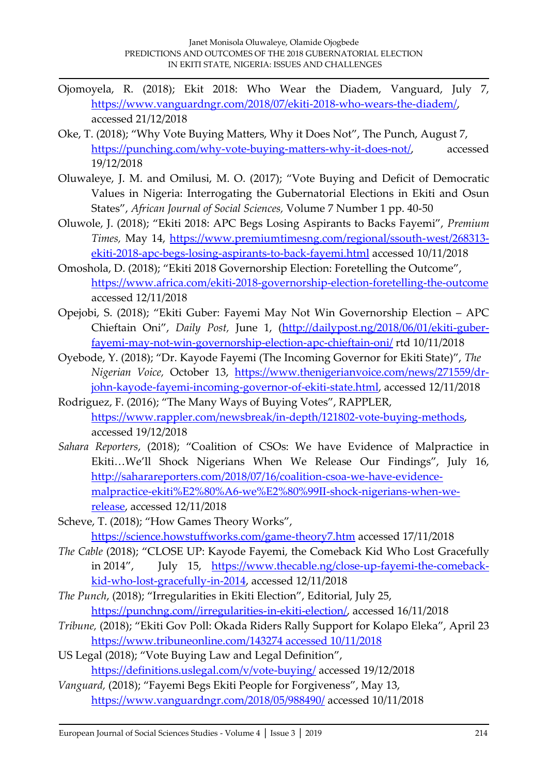- Ojomoyela, R. (2018); Ekit 2018: Who Wear the Diadem, Vanguard, July 7, [https://www.vanguardngr.com/2018/07/ekiti-2018-who-wears-the-diadem/,](https://www.vanguardngr.com/2018/07/ekiti-2018-who-wears-the-diadem/) accessed 21/12/2018
- Oke, T. (2018); "Why Vote Buying Matters, Why it Does Not", The Punch, August 7, [https://punching.com/why-vote-buying-matters-why-it-does-not/,](https://punching.com/why-vote-buying-matters-why-it-does-not/) accessed 19/12/2018
- Oluwaleye, J. M. and Omilusi, M. O. (2017); "Vote Buying and Deficit of Democratic Values in Nigeria: Interrogating the Gubernatorial Elections in Ekiti and Osun States", *African Journal of Social Sciences,* Volume 7 Number 1 pp. 40-50
- Oluwole, J. (2018); "Ekiti 2018: APC Begs Losing Aspirants to Backs Fayemi", *Premium Times,* May 14, [https://www.premiumtimesng.com/regional/ssouth-west/268313](https://www.premiumtimesng.com/regional/ssouth-west/268313-ekiti-2018-apc-begs-losing-aspirants-to-back-fayemi.html) [ekiti-2018-apc-begs-losing-aspirants-to-back-fayemi.html](https://www.premiumtimesng.com/regional/ssouth-west/268313-ekiti-2018-apc-begs-losing-aspirants-to-back-fayemi.html) accessed 10/11/2018
- Omoshola, D. (2018); "Ekiti 2018 Governorship Election: Foretelling the Outcome", <https://www.africa.com/ekiti-2018-governorship-election-foretelling-the-outcome> accessed 12/11/2018
- Opejobi, S. (2018); "Ekiti Guber: Fayemi May Not Win Governorship Election APC Chieftain Oni", *Daily Post,* June 1, [\(http://dailypost.ng/2018/06/01/ekiti-guber](http://dailypost.ng/2018/06/01/ekiti-guber-fayemi-may-not-win-governorship-election-apc-chieftain-oni/)[fayemi-may-not-win-governorship-election-apc-chieftain-oni/](http://dailypost.ng/2018/06/01/ekiti-guber-fayemi-may-not-win-governorship-election-apc-chieftain-oni/) rtd 10/11/2018
- Oyebode, Y. (2018); "Dr. Kayode Fayemi (The Incoming Governor for Ekiti State)", *The Nigerian Voice,* October 13, [https://www.thenigerianvoice.com/news/271559/dr](https://www.thenigerianvoice.com/news/271559/dr-john-kayode-fayemi-incoming-governor-of-ekiti-state.html)[john-kayode-fayemi-incoming-governor-of-ekiti-state.html,](https://www.thenigerianvoice.com/news/271559/dr-john-kayode-fayemi-incoming-governor-of-ekiti-state.html) accessed 12/11/2018
- Rodriguez, F. (2016); "The Many Ways of Buying Votes", RAPPLER, [https://www.rappler.com/newsbreak/in-depth/121802-vote-buying-methods,](https://www.rappler.com/newsbreak/in-depth/121802-vote-buying-methods) accessed 19/12/2018
- *Sahara Reporters*, (2018); "Coalition of CSOs: We have Evidence of Malpractice in Ekiti…We'll Shock Nigerians When We Release Our Findings", July 16, [http://saharareporters.com/2018/07/16/coalition-csoa-we-have-evidence](http://saharareporters.com/2018/07/16/coalition-csoa-we-have-evidence-malpractice-ekiti%E2%80%A6-we%E2%80%99II-shock-nigerians-when-we-release)[malpractice-ekiti%E2%80%A6-we%E2%80%99II-shock-nigerians-when-we](http://saharareporters.com/2018/07/16/coalition-csoa-we-have-evidence-malpractice-ekiti%E2%80%A6-we%E2%80%99II-shock-nigerians-when-we-release)[release,](http://saharareporters.com/2018/07/16/coalition-csoa-we-have-evidence-malpractice-ekiti%E2%80%A6-we%E2%80%99II-shock-nigerians-when-we-release) accessed 12/11/2018
- Scheve, T. (2018); "How Games Theory Works", <https://science.howstuffworks.com/game-theory7.htm> accessed 17/11/2018
- *The Cable* (2018); "CLOSE UP: Kayode Fayemi, the Comeback Kid Who Lost Gracefully in 2014", July 15, [https://www.thecable.ng/close-up-fayemi-the-comeback](https://www.thecable.ng/close-up-fayemi-the-comeback-kid-who-lost-gracefully-in-2014)[kid-who-lost-gracefully-in-2014,](https://www.thecable.ng/close-up-fayemi-the-comeback-kid-who-lost-gracefully-in-2014) accessed 12/11/2018
- *The Punch*, (2018); "Irregularities in Ekiti Election", Editorial, July 25, [https://punchng.com//irregularities-in-ekiti-election/,](https://punchng.com/irregularities-in-ekiti-election/) accessed 16/11/2018
- *Tribune,* (2018); "Ekiti Gov Poll: Okada Riders Rally Support for Kolapo Eleka", April 23 [https://www.tribuneonline.com/143274 accessed 10/11/2018](https://www.tribuneonline.com/143274%20accessed%2010/11/2018)
- US Legal (2018); "Vote Buying Law and Legal Definition", <https://definitions.uslegal.com/v/vote-buying/> accessed 19/12/2018
- *Vanguard,* (2018); "Fayemi Begs Ekiti People for Forgiveness", May 13, <https://www.vanguardngr.com/2018/05/988490/> accessed 10/11/2018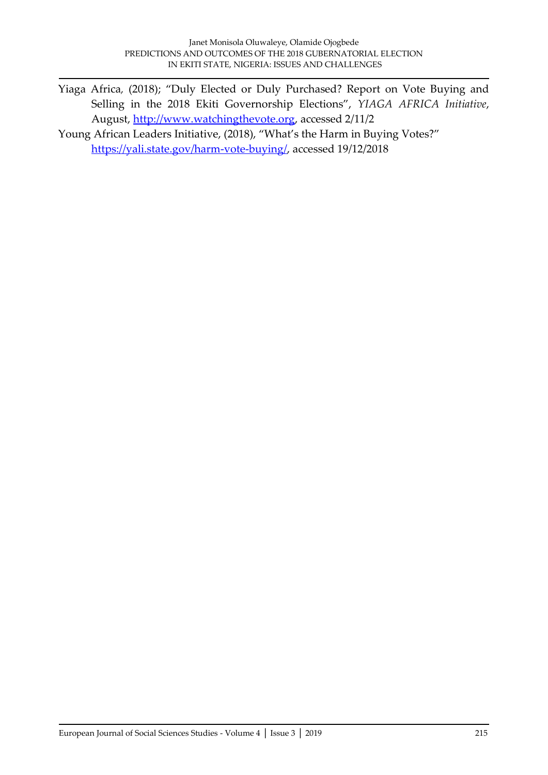- Yiaga Africa*,* (2018); "Duly Elected or Duly Purchased? Report on Vote Buying and Selling in the 2018 Ekiti Governorship Elections", *YIAGA AFRICA Initiative*, August, [http://www.watchingthevote.org,](http://www.watchingthevote.org/) accessed 2/11/2
- Young African Leaders Initiative, (2018), "What's the Harm in Buying Votes?" [https://yali.state.gov/harm-vote-buying/,](https://yali.state.gov/harm-vote-buying/) accessed 19/12/2018